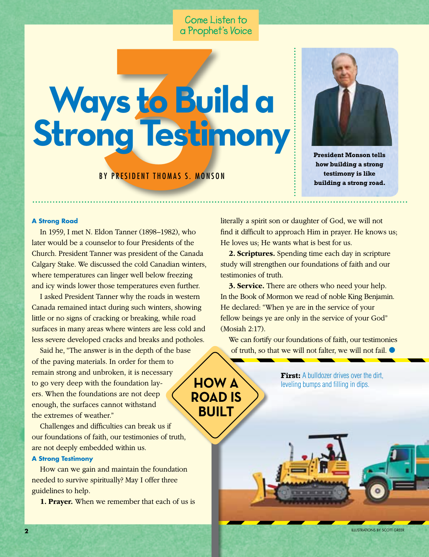## Come Listen to

# **BY PRESIDENT THOMAS S. MONSON Ways to Build a Strong Testimony**



**President Monson tells how building a strong testimony is like building a strong road.**

#### **A Strong Road**

In 1959, I met N. Eldon Tanner (1898–1982), who later would be a counselor to four Presidents of the Church. President Tanner was president of the Canada Calgary Stake. We discussed the cold Canadian winters, where temperatures can linger well below freezing and icy winds lower those temperatures even further.

I asked President Tanner why the roads in western Canada remained intact during such winters, showing little or no signs of cracking or breaking, while road surfaces in many areas where winters are less cold and less severe developed cracks and breaks and potholes.

Said he, "The answer is in the depth of the base of the paving materials. In order for them to remain strong and unbroken, it is necessary to go very deep with the foundation layers. When the foundations are not deep enough, the surfaces cannot withstand the extremes of weather."

Challenges and difficulties can break us if our foundations of faith, our testimonies of truth, are not deeply embedded within us.

#### **A Strong Testimony**

How can we gain and maintain the foundation needed to survive spiritually? May I offer three guidelines to help.

**1. Prayer.** When we remember that each of us is

literally a spirit son or daughter of God, we will not find it difficult to approach Him in prayer. He knows us; He loves us; He wants what is best for us.

**2. Scriptures.** Spending time each day in scripture study will strengthen our foundations of faith and our testimonies of truth.

**3. Service.** There are others who need your help. In the Book of Mormon we read of noble King Benjamin. He declared: "When ye are in the service of your fellow beings ye are only in the service of your God" (Mosiah 2:17).

We can fortify our foundations of faith, our testimonies of truth, so that we will not falter, we will not fail. ●

**First:** A bulldozer drives over the dirt,

Illustrations by scott greer

**Road Is Built**